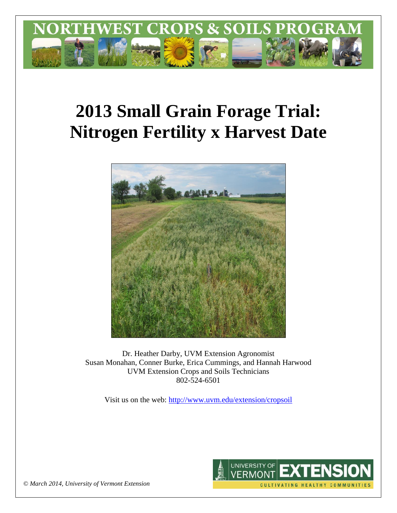

# **2013 Small Grain Forage Trial: Nitrogen Fertility x Harvest Date**



Dr. Heather Darby, UVM Extension Agronomist Susan Monahan, Conner Burke, Erica Cummings, and Hannah Harwood UVM Extension Crops and Soils Technicians 802-524-6501

Visit us on the web: <http://www.uvm.edu/extension/cropsoil>



*© March 2014, University of Vermont Extension*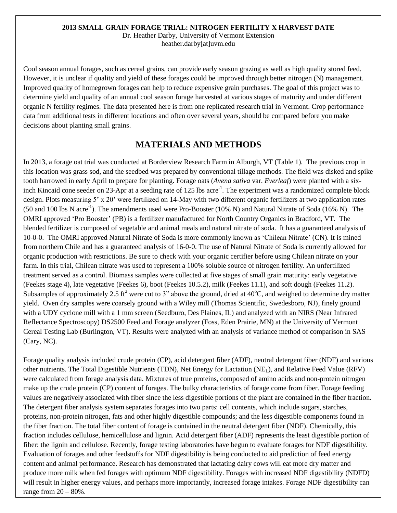#### **2013 SMALL GRAIN FORAGE TRIAL: NITROGEN FERTILITY X HARVEST DATE**

Dr. Heather Darby, University of Vermont Extension heather.darby[at]uvm.edu

Cool season annual forages, such as cereal grains, can provide early season grazing as well as high quality stored feed. However, it is unclear if quality and yield of these forages could be improved through better nitrogen (N) management. Improved quality of homegrown forages can help to reduce expensive grain purchases. The goal of this project was to determine yield and quality of an annual cool season forage harvested at various stages of maturity and under different organic N fertility regimes. The data presented here is from one replicated research trial in Vermont. Crop performance data from additional tests in different locations and often over several years, should be compared before you make decisions about planting small grains.

# **MATERIALS AND METHODS**

In 2013, a forage oat trial was conducted at Borderview Research Farm in Alburgh, VT (Table 1). The previous crop in this location was grass sod, and the seedbed was prepared by conventional tillage methods. The field was disked and spike tooth harrowed in early April to prepare for planting. Forage oats (*Avena sativa* var. *Everleaf*) were planted with a sixinch Kincaid cone seeder on 23-Apr at a seeding rate of 125 lbs acre<sup>-1</sup>. The experiment was a randomized complete block design. Plots measuring 5' x 20' were fertilized on 14-May with two different organic fertilizers at two application rates (50 and 100 lbs N acre<sup>-1</sup>). The amendments used were Pro-Booster (10% N) and Natural Nitrate of Soda (16% N). The OMRI approved 'Pro Booster' (PB) is a fertilizer manufactured for North Country Organics in Bradford, VT. The blended fertilizer is composed of vegetable and animal meals and natural nitrate of soda. It has a guaranteed analysis of 10-0-0. The OMRI approved Natural Nitrate of Soda is more commonly known as 'Chilean Nitrate' (CN). It is mined from northern Chile and has a guaranteed analysis of 16-0-0. The use of Natural Nitrate of Soda is currently allowed for organic production with restrictions. Be sure to check with your organic certifier before using Chilean nitrate on your farm. In this trial, Chilean nitrate was used to represent a 100% soluble source of nitrogen fertility. An unfertilized treatment served as a control. Biomass samples were collected at five stages of small grain maturity: early vegetative (Feekes stage 4), late vegetative (Feekes 6), boot (Feekes 10.5.2), milk (Feekes 11.1), and soft dough (Feekes 11.2). Subsamples of approximately 2.5 ft<sup>2</sup> were cut to 3" above the ground, dried at  $40^{\circ}$ C, and weighed to determine dry matter yield. Oven dry samples were coarsely ground with a Wiley mill (Thomas Scientific, Swedesboro, NJ), finely ground with a UDY cyclone mill with a 1 mm screen (Seedburo, Des Plaines, IL) and analyzed with an NIRS (Near Infrared Reflectance Spectroscopy) DS2500 Feed and Forage analyzer (Foss, Eden Prairie, MN) at the University of Vermont Cereal Testing Lab (Burlington, VT). Results were analyzed with an analysis of variance method of comparison in SAS (Cary, NC).

Forage quality analysis included crude protein (CP), acid detergent fiber (ADF), neutral detergent fiber (NDF) and various other nutrients. The Total Digestible Nutrients (TDN), Net Energy for Lactation (NEL), and Relative Feed Value (RFV) were calculated from forage analysis data. Mixtures of true proteins, composed of amino acids and non-protein nitrogen make up the crude protein (CP) content of forages. The bulky characteristics of forage come from fiber. Forage feeding values are negatively associated with fiber since the less digestible portions of the plant are contained in the fiber fraction. The detergent fiber analysis system separates forages into two parts: cell contents, which include sugars, starches, proteins, non-protein nitrogen, fats and other highly digestible compounds; and the less digestible components found in the fiber fraction. The total fiber content of forage is contained in the neutral detergent fiber (NDF). Chemically, this fraction includes cellulose, hemicellulose and lignin. Acid detergent fiber (ADF) represents the least digestible portion of fiber: the lignin and cellulose. Recently, forage testing laboratories have begun to evaluate forages for NDF digestibility. Evaluation of forages and other feedstuffs for NDF digestibility is being conducted to aid prediction of feed energy content and animal performance. Research has demonstrated that lactating dairy cows will eat more dry matter and produce more milk when fed forages with optimum NDF digestibility. Forages with increased NDF digestibility (NDFD) will result in higher energy values, and perhaps more importantly, increased forage intakes. Forage NDF digestibility can range from  $20 - 80\%$ .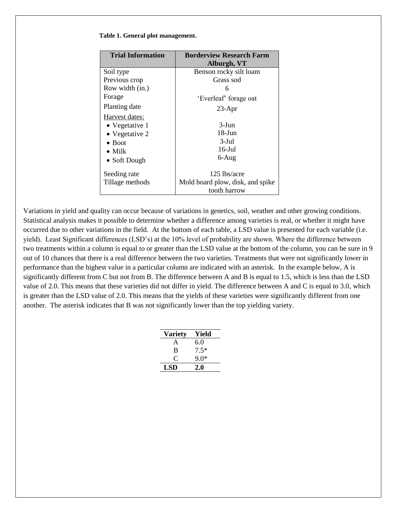| <b>Trial Information</b> | <b>Borderview Research Farm</b><br>Alburgh, VT |
|--------------------------|------------------------------------------------|
| Soil type                | Benson rocky silt loam                         |
| Previous crop            | Grass sod                                      |
| Row width (in.)          | 6                                              |
| Forage                   | 'Everleaf' forage oat                          |
| Planting date            | $23$ -Apr                                      |
| Harvest dates:           |                                                |
| • Vegetative 1           | $3-J$ un                                       |
| • Vegetative 2           | $18$ -Jun                                      |
| $\bullet$ Boot           | $3-Jul$                                        |
| $\bullet$ Milk           | $16$ -Jul                                      |
| • Soft Dough             | $6 - Aug$                                      |
| Seeding rate             | 125 lbs/acre                                   |
| Tillage methods          | Mold board plow, disk, and spike               |
|                          | tooth harrow                                   |

#### **Table 1. General plot management.**

Variations in yield and quality can occur because of variations in genetics, soil, weather and other growing conditions. Statistical analysis makes it possible to determine whether a difference among varieties is real, or whether it might have occurred due to other variations in the field. At the bottom of each table, a LSD value is presented for each variable (i.e. yield). Least Significant differences (LSD's) at the 10% level of probability are shown. Where the difference between two treatments within a column is equal to or greater than the LSD value at the bottom of the column, you can be sure in 9 out of 10 chances that there is a real difference between the two varieties. Treatments that were not significantly lower in performance than the highest value in a particular column are indicated with an asterisk. In the example below, A is significantly different from C but not from B. The difference between A and B is equal to 1.5, which is less than the LSD value of 2.0. This means that these varieties did not differ in yield. The difference between A and C is equal to 3.0, which is greater than the LSD value of 2.0. This means that the yields of these varieties were significantly different from one another. The asterisk indicates that B was not significantly lower than the top yielding variety.

| <b>Variety</b> | Yield  |
|----------------|--------|
| A              | 6.0    |
| B              | $7.5*$ |
| 0              | 9.0*   |
| LSD            | 2.0    |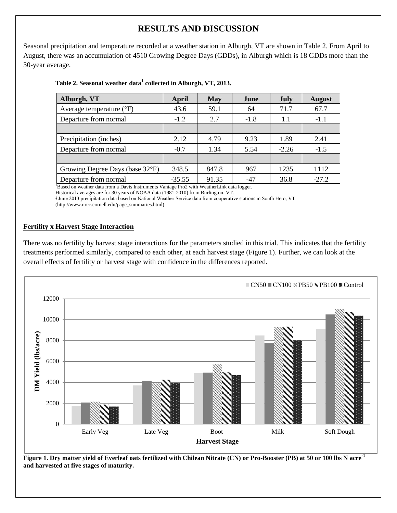# **RESULTS AND DISCUSSION**

Seasonal precipitation and temperature recorded at a weather station in Alburgh, VT are shown in Table 2. From April to August, there was an accumulation of 4510 Growing Degree Days (GDDs), in Alburgh which is 18 GDDs more than the 30-year average.

| Alburgh, VT                       | April    | <b>May</b> | June   | July    | <b>August</b> |
|-----------------------------------|----------|------------|--------|---------|---------------|
| Average temperature $(^{\circ}F)$ | 43.6     | 59.1       | 64     | 71.7    | 67.7          |
| Departure from normal             | $-1.2$   | 2.7        | $-1.8$ | 1.1     | $-1.1$        |
|                                   |          |            |        |         |               |
| Precipitation (inches)            | 2.12     | 4.79       | 9.23   | 1.89    | 2.41          |
| Departure from normal             | $-0.7$   | 1.34       | 5.54   | $-2.26$ | $-1.5$        |
|                                   |          |            |        |         |               |
| Growing Degree Days (base 32°F)   | 348.5    | 847.8      | 967    | 1235    | 1112          |
| Departure from normal             | $-35.55$ | 91.35      | -47    | 36.8    | $-27.2$       |

### **Table 2. Seasonal weather data<sup>1</sup> collected in Alburgh, VT, 2013.**

<sup>1</sup>Based on weather data from a Davis Instruments Vantage Pro2 with WeatherLink data logger.

Historical averages are for 30 years of NOAA data (1981-2010) from Burlington, VT.

ⱡ June 2013 precipitation data based on National Weather Service data from cooperative stations in South Hero, VT (http://www.nrcc.cornell.edu/page\_summaries.html)

## **Fertility x Harvest Stage Interaction**

There was no fertility by harvest stage interactions for the parameters studied in this trial. This indicates that the fertility treatments performed similarly, compared to each other, at each harvest stage (Figure 1). Further, we can look at the overall effects of fertility or harvest stage with confidence in the differences reported.



**Figure 1. Dry matter yield of Everleaf oats fertilized with Chilean Nitrate (CN) or Pro-Booster (PB) at 50 or 100 lbs N acre-1 and harvested at five stages of maturity.**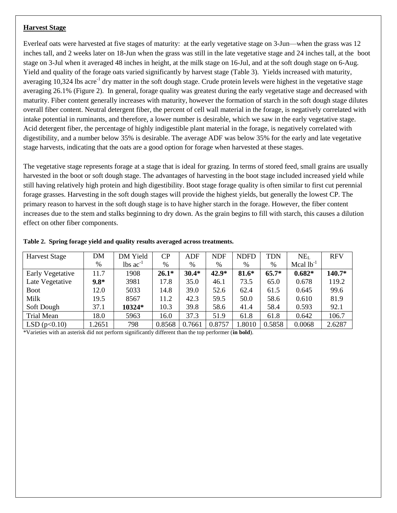#### **Harvest Stage**

Everleaf oats were harvested at five stages of maturity: at the early vegetative stage on 3-Jun—when the grass was 12 inches tall, and 2 weeks later on 18-Jun when the grass was still in the late vegetative stage and 24 inches tall, at the boot stage on 3-Jul when it averaged 48 inches in height, at the milk stage on 16-Jul, and at the soft dough stage on 6-Aug. Yield and quality of the forage oats varied significantly by harvest stage (Table 3). Yields increased with maturity, averaging 10,324 lbs acre<sup>-1</sup> dry matter in the soft dough stage. Crude protein levels were highest in the vegetative stage averaging 26.1% (Figure 2). In general, forage quality was greatest during the early vegetative stage and decreased with maturity. Fiber content generally increases with maturity, however the formation of starch in the soft dough stage dilutes overall fiber content. Neutral detergent fiber, the percent of cell wall material in the forage, is negatively correlated with intake potential in ruminants, and therefore, a lower number is desirable, which we saw in the early vegetative stage. Acid detergent fiber, the percentage of highly indigestible plant material in the forage, is negatively correlated with digestibility, and a number below 35% is desirable. The average ADF was below 35% for the early and late vegetative stage harvests, indicating that the oats are a good option for forage when harvested at these stages.

The vegetative stage represents forage at a stage that is ideal for grazing. In terms of stored feed, small grains are usually harvested in the boot or soft dough stage. The advantages of harvesting in the boot stage included increased yield while still having relatively high protein and high digestibility. Boot stage forage quality is often similar to first cut perennial forage grasses. Harvesting in the soft dough stages will provide the highest yields, but generally the lowest CP. The primary reason to harvest in the soft dough stage is to have higher starch in the forage. However, the fiber content increases due to the stem and stalks beginning to dry down. As the grain begins to fill with starch, this causes a dilution effect on other fiber components.

| <b>Harvest Stage</b> | <b>DM</b> | DM Yield                      | CP      | ADF     | <b>NDF</b> | <b>NDFD</b> | <b>TDN</b> | NE <sub>L</sub> | <b>RFV</b> |
|----------------------|-----------|-------------------------------|---------|---------|------------|-------------|------------|-----------------|------------|
|                      | $\%$      | $\text{lbs}$ ac <sup>-1</sup> | %       | %       | %          | %           | $\%$       | Mcal $lb^{-1}$  |            |
| Early Vegetative     | 11.7      | 1908                          | $26.1*$ | $30.4*$ | $42.9*$    | 81.6*       | $65.7*$    | $0.682*$        | 140.7*     |
| Late Vegetative      | $9.8*$    | 3981                          | 17.8    | 35.0    | 46.1       | 73.5        | 65.0       | 0.678           | 119.2      |
| <b>Boot</b>          | 12.0      | 5033                          | 14.8    | 39.0    | 52.6       | 62.4        | 61.5       | 0.645           | 99.6       |
| Milk                 | 19.5      | 8567                          | 11.2    | 42.3    | 59.5       | 50.0        | 58.6       | 0.610           | 81.9       |
| Soft Dough           | 37.1      | 10324*                        | 10.3    | 39.8    | 58.6       | 41.4        | 58.4       | 0.593           | 92.1       |
| <b>Trial Mean</b>    | 18.0      | 5963                          | 16.0    | 37.3    | 51.9       | 61.8        | 61.8       | 0.642           | 106.7      |
| LSD(p<0.10)          | .2651     | 798                           | 0.8568  | 0.7661  | 0.8757     | 1.8010      | 0.5858     | 0.0068          | 2.6287     |

#### **Table 2. Spring forage yield and quality results averaged across treatments.**

\*Varieties with an asterisk did not perform significantly different than the top performer (**in bold**).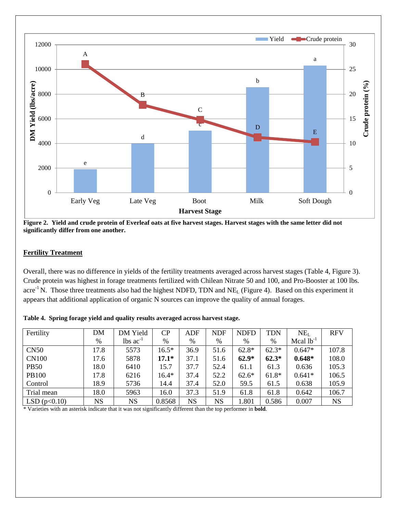

**Figure 2. Yield and crude protein of Everleaf oats at five harvest stages. Harvest stages with the same letter did not significantly differ from one another.** 

#### **Fertility Treatment**

Overall, there was no difference in yields of the fertility treatments averaged across harvest stages (Table 4, Figure 3). Crude protein was highest in forage treatments fertilized with Chilean Nitrate 50 and 100, and Pro-Booster at 100 lbs. acre<sup>-1</sup> N. Those three treatments also had the highest NDFD, TDN and NE<sub>L</sub> (Figure 4). Based on this experiment it appears that additional application of organic N sources can improve the quality of annual forages.

| Fertility    | DM        | DM Yield                      | CP      | <b>ADF</b>  | <b>NDF</b> | <b>NDFD</b> | <b>TDN</b> | NE <sub>L</sub> | <b>RFV</b> |
|--------------|-----------|-------------------------------|---------|-------------|------------|-------------|------------|-----------------|------------|
|              | $\%$      | $\text{lbs}$ ac <sup>-1</sup> | $\%$    | %           | %          | %           | %          | Mcal $lb^{-1}$  |            |
| <b>CN50</b>  | 17.8      | 5573                          | $16.5*$ | 36.9        | 51.6       | $62.8*$     | $62.3*$    | $0.647*$        | 107.8      |
| <b>CN100</b> | 17.6      | 5878                          | $17.1*$ | 37.1        | 51.6       | $62.9*$     | $62.3*$    | $0.648*$        | 108.0      |
| <b>PB50</b>  | 18.0      | 6410                          | 15.7    | 37.7        | 52.4       | 61.1        | 61.3       | 0.636           | 105.3      |
| <b>PB100</b> | 17.8      | 6216                          | $16.4*$ | 37.4        | 52.2       | $62.6*$     | $61.8*$    | $0.641*$        | 106.5      |
| Control      | 18.9      | 5736                          | 14.4    | 37.4        | 52.0       | 59.5        | 61.5       | 0.638           | 105.9      |
| Trial mean   | 18.0      | 5963                          | 16.0    | 37.3        | 51.9       | 61.8        | 61.8       | 0.642           | 106.7      |
| LSD(p<0.10)  | <b>NS</b> | <b>NS</b>                     | 0.8568  | $_{\rm NS}$ | <b>NS</b>  | .801        | 0.586      | 0.007           | <b>NS</b>  |

**Table 4. Spring forage yield and quality results averaged across harvest stage.** 

\* Varieties with an asterisk indicate that it was not significantly different than the top performer in **bold**.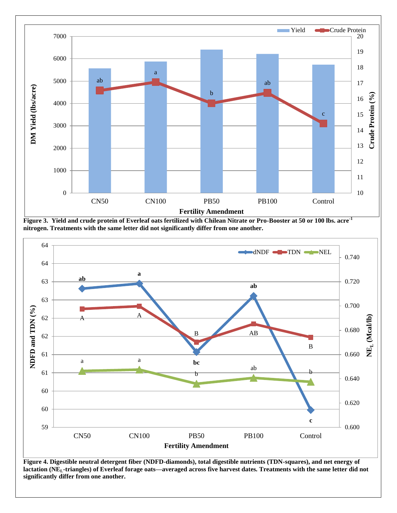

**Figure 3. Yield and crude protein of Everleaf oats fertilized with Chilean Nitrate or Pro-Booster at 50 or 100 lbs. acre-1 nitrogen. Treatments with the same letter did not significantly differ from one another.** 



**Figure 4. Digestible neutral detergent fiber (NDFD-diamonds), total digestible nutrients (TDN-squares), and net energy of lactation (NEL-triangles) of Everleaf forage oats—averaged across five harvest dates. Treatments with the same letter did not significantly differ from one another.**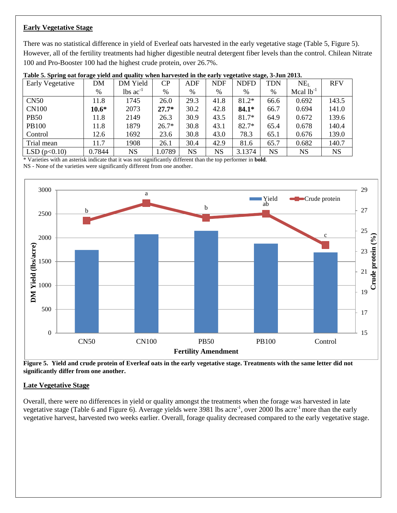# **Early Vegetative Stage**

There was no statistical difference in yield of Everleaf oats harvested in the early vegetative stage (Table 5, Figure 5). However, all of the fertility treatments had higher digestible neutral detergent fiber levels than the control. Chilean Nitrate 100 and Pro-Booster 100 had the highest crude protein, over 26.7%.

| Early Vegetative | DΜ      | DM Yield                      | CP      | <b>ADF</b> | <b>NDF</b>  | <b>NDFD</b> | <b>TDN</b> | NE <sub>L</sub> | <b>RFV</b> |
|------------------|---------|-------------------------------|---------|------------|-------------|-------------|------------|-----------------|------------|
|                  | %       | $\text{lbs}$ ac <sup>-1</sup> | %       | %          | %           | %           | %          | Mcal $lb^{-1}$  |            |
| CN50             | 11.8    | 1745                          | 26.0    | 29.3       | 41.8        | $81.2*$     | 66.6       | 0.692           | 143.5      |
| <b>CN100</b>     | $10.6*$ | 2073                          | $27.7*$ | 30.2       | 42.8        | $84.1*$     | 66.7       | 0.694           | 141.0      |
| <b>PB50</b>      | 11.8    | 2149                          | 26.3    | 30.9       | 43.5        | 81.7*       | 64.9       | 0.672           | 139.6      |
| <b>PB100</b>     | 11.8    | 1879                          | $26.7*$ | 30.8       | 43.1        | $82.7*$     | 65.4       | 0.678           | 140.4      |
| Control          | 12.6    | 1692                          | 23.6    | 30.8       | 43.0        | 78.3        | 65.1       | 0.676           | 139.0      |
| Trial mean       | 11.7    | 1908                          | 26.1    | 30.4       | 42.9        | 81.6        | 65.7       | 0.682           | 140.7      |
| LSD(p<0.10)      | 0.7844  | <b>NS</b>                     | 1.0789  | <b>NS</b>  | $_{\rm NS}$ | 3.1374      | <b>NS</b>  | <b>NS</b>       | <b>NS</b>  |

|  |  |  | Table 5. Spring oat forage yield and quality when harvested in the early vegetative stage, 3-Jun 2013. |  |
|--|--|--|--------------------------------------------------------------------------------------------------------|--|
|  |  |  |                                                                                                        |  |

\* Varieties with an asterisk indicate that it was not significantly different than the top performer in **bold**.

NS - None of the varieties were significantly different from one another.



**Figure 5. Yield and crude protein of Everleaf oats in the early vegetative stage. Treatments with the same letter did not significantly differ from one another.** 

## **Late Vegetative Stage**

Overall, there were no differences in yield or quality amongst the treatments when the forage was harvested in late vegetative stage (Table 6 and Figure 6). Average yields were 3981 lbs acre<sup>-1</sup>, over 2000 lbs acre<sup>-1</sup> more than the early vegetative harvest, harvested two weeks earlier. Overall, forage quality decreased compared to the early vegetative stage.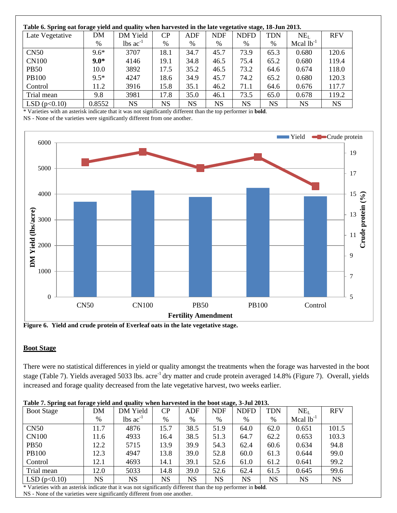| Table 6. Spring oat forage yield and quality when harvested in the late vegetative stage, 18-Jun 2013. |        |                               |      |      |            |             |           |                 |            |  |
|--------------------------------------------------------------------------------------------------------|--------|-------------------------------|------|------|------------|-------------|-----------|-----------------|------------|--|
| Late Vegetative                                                                                        | DM     | DM Yield                      | CP   | ADF  | <b>NDF</b> | <b>NDFD</b> | TDN       | NE <sub>L</sub> | <b>RFV</b> |  |
|                                                                                                        | %      | $\text{lbs}$ ac <sup>-1</sup> | %    | %    | %          | %           | %         | Mcal $lb^{-1}$  |            |  |
| CN50                                                                                                   | $9.6*$ | 3707                          | 18.1 | 34.7 | 45.7       | 73.9        | 65.3      | 0.680           | 120.6      |  |
| <b>CN100</b>                                                                                           | $9.0*$ | 4146                          | 19.1 | 34.8 | 46.5       | 75.4        | 65.2      | 0.680           | 119.4      |  |
| <b>PB50</b>                                                                                            | 10.0   | 3892                          | 17.5 | 35.2 | 46.5       | 73.2        | 64.6      | 0.674           | 118.0      |  |
| <b>PB100</b>                                                                                           | $9.5*$ | 4247                          | 18.6 | 34.9 | 45.7       | 74.2        | 65.2      | 0.680           | 120.3      |  |
| Control                                                                                                | 11.2   | 3916                          | 15.8 | 35.1 | 46.2       | 71.1        | 64.6      | 0.676           | 117.7      |  |
| Trial mean                                                                                             | 9.8    | 3981                          | 17.8 | 35.0 | 46.1       | 73.5        | 65.0      | 0.678           | 119.2      |  |
| LSD(p<0.10)                                                                                            | 0.8552 | <b>NS</b>                     | NS   | NS   | NS         | NS          | <b>NS</b> | NS              | <b>NS</b>  |  |

\* Varieties with an asterisk indicate that it was not significantly different than the top performer in **bold**.

NS - None of the varieties were significantly different from one another.



**Figure 6. Yield and crude protein of Everleaf oats in the late vegetative stage.** 

#### **Boot Stage**

There were no statistical differences in yield or quality amongst the treatments when the forage was harvested in the boot stage (Table 7). Yields averaged 5033 lbs. acre-1 dry matter and crude protein averaged 14.8% (Figure 7). Overall, yields increased and forage quality decreased from the late vegetative harvest, two weeks earlier.

| <b>Boot Stage</b> | DM        | DM Yield                      | CP        | ADF       | <b>NDF</b> | <b>NDFD</b> | <b>TDN</b> | NE <sub>L</sub> | <b>RFV</b> |
|-------------------|-----------|-------------------------------|-----------|-----------|------------|-------------|------------|-----------------|------------|
|                   | %         | $\text{lbs}$ ac <sup>-1</sup> | $\%$      | %         | %          | %           | %          | Mcal $lb^{-1}$  |            |
| CN50              | 11.7      | 4876                          | 15.7      | 38.5      | 51.9       | 64.0        | 62.0       | 0.651           | 101.5      |
| <b>CN100</b>      | 11.6      | 4933                          | 16.4      | 38.5      | 51.3       | 64.7        | 62.2       | 0.653           | 103.3      |
| <b>PB50</b>       | 12.2      | 5715                          | 13.9      | 39.9      | 54.3       | 62.4        | 60.6       | 0.634           | 94.8       |
| <b>PB100</b>      | 12.3      | 4947                          | 13.8      | 39.0      | 52.8       | 60.0        | 61.3       | 0.644           | 99.0       |
| Control           | 12.1      | 4693                          | 14.1      | 39.1      | 52.6       | 61.0        | 61.2       | 0.641           | 99.2       |
| Trial mean        | 12.0      | 5033                          | 14.8      | 39.0      | 52.6       | 62.4        | 61.5       | 0.645           | 99.6       |
| LSD(p<0.10)       | <b>NS</b> | <b>NS</b>                     | <b>NS</b> | <b>NS</b> | <b>NS</b>  | <b>NS</b>   | <b>NS</b>  | <b>NS</b>       | <b>NS</b>  |

**Table 7. Spring oat forage yield and quality when harvested in the boot stage, 3-Jul 2013.**

\* Varieties with an asterisk indicate that it was not significantly different than the top performer in **bold**.

NS - None of the varieties were significantly different from one another.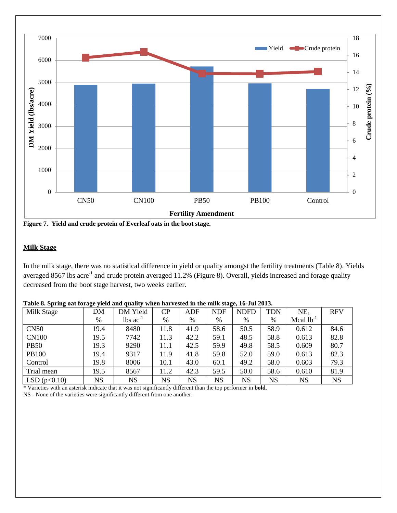

**Figure 7. Yield and crude protein of Everleaf oats in the boot stage.** 

#### **Milk Stage**

In the milk stage, there was no statistical difference in yield or quality amongst the fertility treatments (Table 8). Yields averaged 8567 lbs acre<sup>-1</sup> and crude protein averaged 11.2% (Figure 8). Overall, yields increased and forage quality decreased from the boot stage harvest, two weeks earlier.

| Milk Stage   | DΜ          | DM Yield                      | CP        | ADF       | <b>NDF</b> | <u>.</u><br><b>NDFD</b> | <b>TDN</b> | NE <sub>L</sub> | <b>RFV</b> |
|--------------|-------------|-------------------------------|-----------|-----------|------------|-------------------------|------------|-----------------|------------|
|              | %           | $\text{lbs}$ ac <sup>-1</sup> | $\%$      | $\%$      | $\%$       | %                       | %          | Mcal $lb^{-1}$  |            |
| CN50         | 19.4        | 8480                          | 11.8      | 41.9      | 58.6       | 50.5                    | 58.9       | 0.612           | 84.6       |
| <b>CN100</b> | 19.5        | 7742                          | 11.3      | 42.2      | 59.1       | 48.5                    | 58.8       | 0.613           | 82.8       |
| <b>PB50</b>  | 19.3        | 9290                          | 11.1      | 42.5      | 59.9       | 49.8                    | 58.5       | 0.609           | 80.7       |
| <b>PB100</b> | 19.4        | 9317                          | 11.9      | 41.8      | 59.8       | 52.0                    | 59.0       | 0.613           | 82.3       |
| Control      | 19.8        | 8006                          | 10.1      | 43.0      | 60.1       | 49.2                    | 58.0       | 0.603           | 79.3       |
| Trial mean   | 19.5        | 8567                          | 11.2      | 42.3      | 59.5       | 50.0                    | 58.6       | 0.610           | 81.9       |
| LSD(p<0.10)  | $_{\rm NS}$ | <b>NS</b>                     | <b>NS</b> | <b>NS</b> | <b>NS</b>  | <b>NS</b>               | <b>NS</b>  | <b>NS</b>       | <b>NS</b>  |

**Table 8. Spring oat forage yield and quality when harvested in the milk stage, 16-Jul 2013.**

\* Varieties with an asterisk indicate that it was not significantly different than the top performer in **bold**.

NS - None of the varieties were significantly different from one another.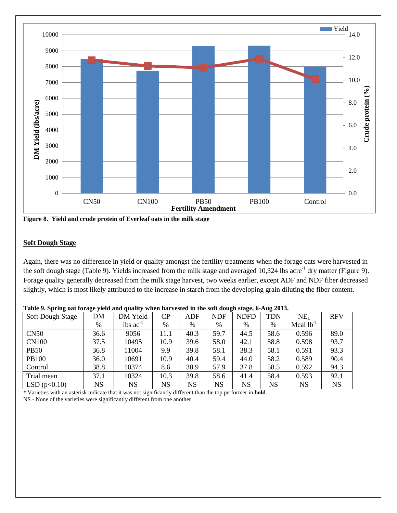

**Figure 8. Yield and crude protein of Everleaf oats in the milk stage**

#### **Soft Dough Stage**

Again, there was no difference in yield or quality amongst the fertility treatments when the forage oats were harvested in the soft dough stage (Table 9). Yields increased from the milk stage and averaged  $10,324$  lbs acre<sup>-1</sup> dry matter (Figure 9). Forage quality generally decreased from the milk stage harvest, two weeks earlier, except ADF and NDF fiber decreased slightly, which is most likely attributed to the increase in starch from the developing grain diluting the fiber content.

| Soft Dough Stage | DM        | DM Yield                      | CP        | ADF       | <b>NDF</b> | <b>NDFD</b> | <b>TDN</b> | NE <sub>L</sub> | <b>RFV</b> |
|------------------|-----------|-------------------------------|-----------|-----------|------------|-------------|------------|-----------------|------------|
|                  | $\%$      | $\text{lbs}$ ac <sup>-1</sup> | %         | %         | %          | %           | %          | Mcal $lb^{-1}$  |            |
| CN50             | 36.6      | 9056                          | 11.1      | 40.3      | 59.7       | 44.5        | 58.6       | 0.596           | 89.0       |
| <b>CN100</b>     | 37.5      | 10495                         | 10.9      | 39.6      | 58.0       | 42.1        | 58.8       | 0.598           | 93.7       |
| <b>PB50</b>      | 36.8      | 11004                         | 9.9       | 39.8      | 58.1       | 38.3        | 58.1       | 0.591           | 93.3       |
| <b>PB100</b>     | 36.0      | 10691                         | 10.9      | 40.4      | 59.4       | 44.0        | 58.2       | 0.589           | 90.4       |
| Control          | 38.8      | 10374                         | 8.6       | 38.9      | 57.9       | 37.8        | 58.5       | 0.592           | 94.3       |
| Trial mean       | 37.1      | 10324                         | 10.3      | 39.8      | 58.6       | 41.4        | 58.4       | 0.593           | 92.1       |
| LSD(p<0.10)      | <b>NS</b> | NS                            | <b>NS</b> | <b>NS</b> | <b>NS</b>  | <b>NS</b>   | <b>NS</b>  | <b>NS</b>       | <b>NS</b>  |

**Table 9. Spring oat forage yield and quality when harvested in the soft dough stage, 6-Aug 2013.**

\* Varieties with an asterisk indicate that it was not significantly different than the top performer in **bold**.

NS - None of the varieties were significantly different from one another.